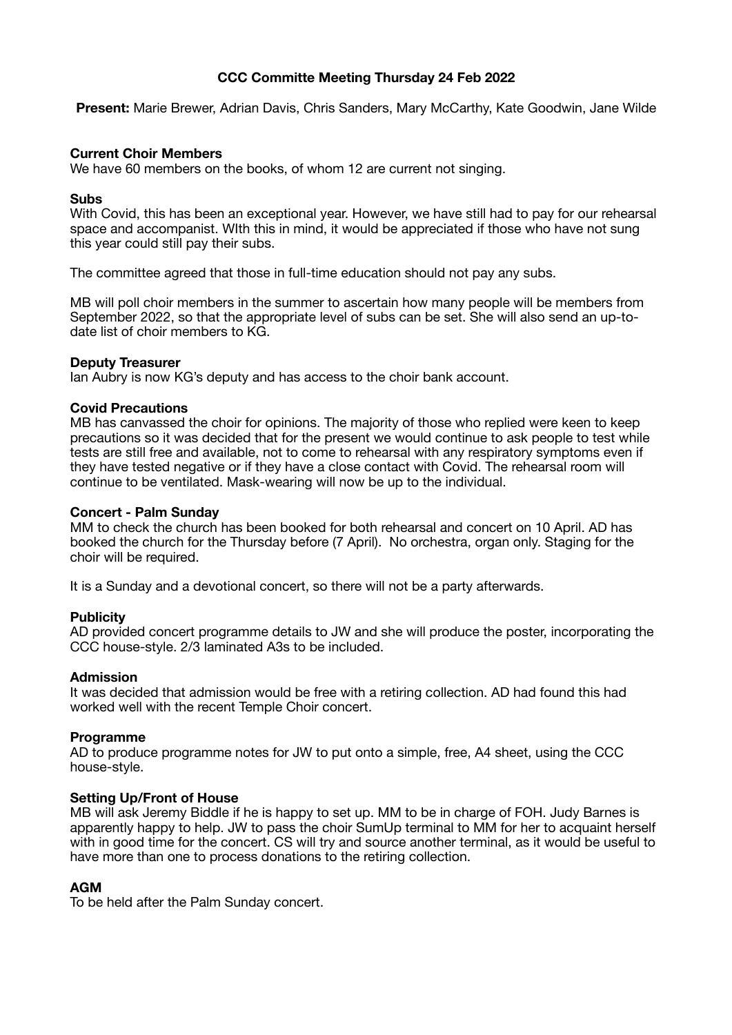# **CCC Committe Meeting Thursday 24 Feb 2022**

**Present:** Marie Brewer, Adrian Davis, Chris Sanders, Mary McCarthy, Kate Goodwin, Jane Wilde

## **Current Choir Members**

We have 60 members on the books, of whom 12 are current not singing.

#### **Subs**

With Covid, this has been an exceptional year. However, we have still had to pay for our rehearsal space and accompanist. WIth this in mind, it would be appreciated if those who have not sung this year could still pay their subs.

The committee agreed that those in full-time education should not pay any subs.

MB will poll choir members in the summer to ascertain how many people will be members from September 2022, so that the appropriate level of subs can be set. She will also send an up-todate list of choir members to KG.

## **Deputy Treasurer**

Ian Aubry is now KG's deputy and has access to the choir bank account.

## **Covid Precautions**

MB has canvassed the choir for opinions. The majority of those who replied were keen to keep precautions so it was decided that for the present we would continue to ask people to test while tests are still free and available, not to come to rehearsal with any respiratory symptoms even if they have tested negative or if they have a close contact with Covid. The rehearsal room will continue to be ventilated. Mask-wearing will now be up to the individual.

## **Concert - Palm Sunday**

MM to check the church has been booked for both rehearsal and concert on 10 April. AD has booked the church for the Thursday before (7 April). No orchestra, organ only. Staging for the choir will be required.

It is a Sunday and a devotional concert, so there will not be a party afterwards.

#### **Publicity**

AD provided concert programme details to JW and she will produce the poster, incorporating the CCC house-style. 2/3 laminated A3s to be included.

#### **Admission**

It was decided that admission would be free with a retiring collection. AD had found this had worked well with the recent Temple Choir concert.

#### **Programme**

AD to produce programme notes for JW to put onto a simple, free, A4 sheet, using the CCC house-style.

#### **Setting Up/Front of House**

MB will ask Jeremy Biddle if he is happy to set up. MM to be in charge of FOH. Judy Barnes is apparently happy to help. JW to pass the choir SumUp terminal to MM for her to acquaint herself with in good time for the concert. CS will try and source another terminal, as it would be useful to have more than one to process donations to the retiring collection.

## **AGM**

To be held after the Palm Sunday concert.